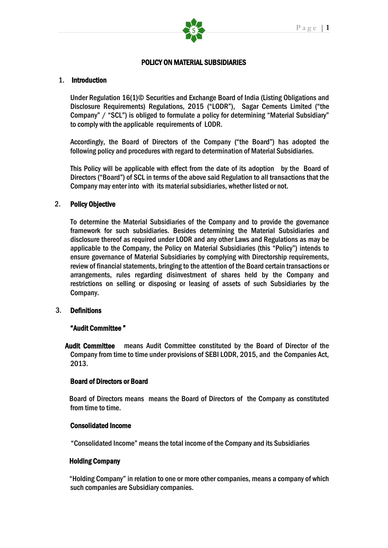

### POLICY ON MATERIAL SUBSIDIARIES

## 1. Introduction

Under Regulation 16(1)© Securities and Exchange Board of India (Listing Obligations and Disclosure Requirements) Regulations, 2015 ("LODR"), Sagar Cements Limited ("the Company" / "SCL") is obliged to formulate a policy for determining "Material Subsidiary" to comply with the applicable requirements of LODR.

Accordingly, the Board of Directors of the Company ("the Board") has adopted the following policy and procedures with regard to determination of Material Subsidiaries.

This Policy will be applicable with effect from the date of its adoption by the Board of Directors ("Board") of SCL in terms of the above said Regulation to all transactions that the Company may enter into with its material subsidiaries, whether listed or not.

### 2. Policy Objective

To determine the Material Subsidiaries of the Company and to provide the governance framework for such subsidiaries. Besides determining the Material Subsidiaries and disclosure thereof as required under LODR and any other Laws and Regulations as may be applicable to the Company, the Policy on Material Subsidiaries (this "Policy") intends to ensure governance of Material Subsidiaries by complying with Directorship requirements, review of financial statements, bringing to the attention of the Board certain transactions or arrangements, rules regarding disinvestment of shares held by the Company and restrictions on selling or disposing or leasing of assets of such Subsidiaries by the Company.

#### 3. Definitions

### "Audit Committee "

 Audit Committee means Audit Committee constituted by the Board of Director of the Company from time to time under provisions of SEBI LODR, 2015, and the Companies Act, 2013.

#### Board of Directors or Board

 Board of Directors means means the Board of Directors of the Company as constituted from time to time.

#### Consolidated Income

"Consolidated Income" means the total income of the Company and its Subsidiaries

#### Holding Company

"Holding Company" in relation to one or more other companies, means a company of which such companies are Subsidiary companies.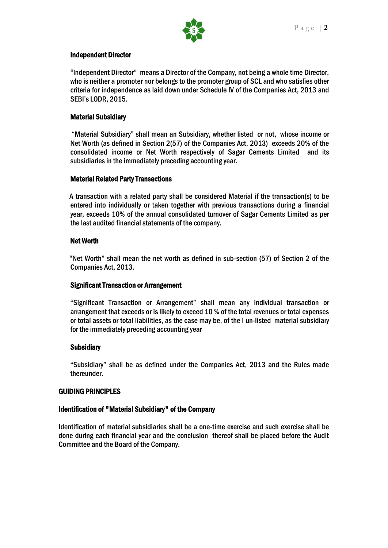

#### Independent Director

"Independent Director" means a Director of the Company, not being a whole time Director, who is neither a promoter nor belongs to the promoter group of SCL and who satisfies other criteria for independence as laid down under Schedule IV of the Companies Act, 2013 and SEBI's LODR, 2015.

## Material Subsidiary

"Material Subsidiary" shall mean an Subsidiary, whether listed or not, whose income or Net Worth (as defined in Section 2(57) of the Companies Act, 2013) exceeds 20% of the consolidated income or Net Worth respectively of Sagar Cements Limited and its subsidiaries in the immediately preceding accounting year.

### Material Related Party Transactions

A transaction with a related party shall be considered Material if the transaction(s) to be entered into individually or taken together with previous transactions during a financial year, exceeds 10% of the annual consolidated turnover of Sagar Cements Limited as per the last audited financial statements of the company.

### Net Worth

"Net Worth" shall mean the net worth as defined in sub-section (57) of Section 2 of the Companies Act, 2013.

### Significant Transaction or Arrangement

"Significant Transaction or Arrangement" shall mean any individual transaction or arrangement that exceeds or is likely to exceed 10 % of the total revenues or total expenses or total assets or total liabilities, as the case may be, of the l un-listed material subsidiary for the immediately preceding accounting year

### **Subsidiary**

"Subsidiary" shall be as defined under the Companies Act, 2013 and the Rules made thereunder.

### GUIDING PRINCIPLES

### Identification of "Material Subsidiary" of the Company

Identification of material subsidiaries shall be a one-time exercise and such exercise shall be done during each financial year and the conclusion thereof shall be placed before the Audit Committee and the Board of the Company.